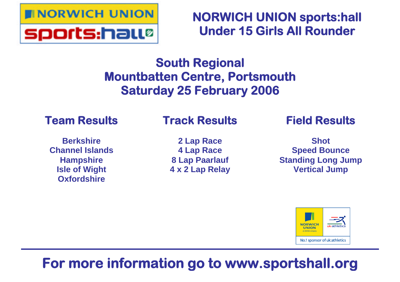

**NORWICH UNION sports:hall Under 15 Girls All Rounder**

# **South Regional Mountbatten Centre, Portsmouth Saturday 25 February 2006**

# **Team Results**

# **Track Results**

**Berkshire Channel Islands Hampshire Isle of Wight Oxfordshire**

**2 Lap Race 4 Lap Race 8 Lap Paarlauf 4 x 2 Lap Relay** **Field Results**

**Shot Speed Bounce Standing Long Jump Vertical Jump**



# **For more information go to www.sportshall.org**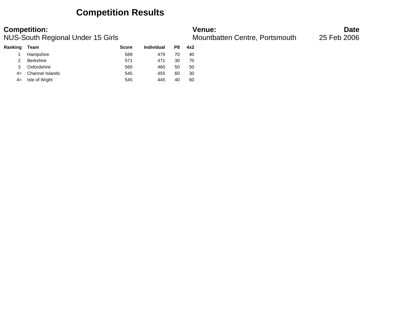## **Competition Results**

### **Competition: Venue: Date**

NUS-South Regional Under 15 Girls Mountbatten Centre, Portsmouth and 25 Feb 2006

| Team             | <b>Score</b> | Individual | P8 | 4x2 |
|------------------|--------------|------------|----|-----|
| Hampshire        | 589          | 479        | 70 | 40  |
| <b>Berkshire</b> | 571          | 471        | 30 | 70  |
| Oxfordshire      | 560          | 460        | 50 | 50  |
| Channel Islands  | 545          | 455        | 60 | 30  |
| Isle of Wight    | 545          | 445        | 40 | 60  |
|                  |              |            |    |     |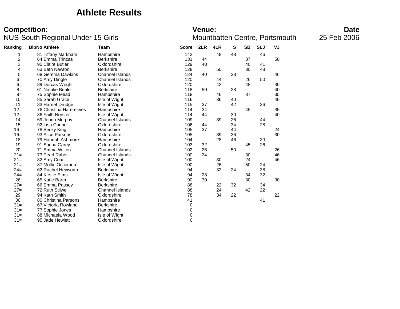### **Athlete Results**

### **Competition:** Date NUS-South Regional Under 15 Girls Mountbatten Centre, Portsmouth 25 Feb 2006

### **Ranking BibNo Athlete Team Score 2LR 4LR S SB SLJ VJ** 1 81 Tiffany Markham Hampshire 142 48 48 46 2 64 Emma Trincas Berkshire 131 44 37 50 3 90 Claire Butler Coxfordshire 129 48 40 4 63 Beth Newton Berkshire **Berkshire 128 50** 30 48 58 Gemma Dawkins Channel Islands 124 40 38 46<br>120 120 44 26 50  $6=$  70 Amy Dingle Channel Islands<br> $6=$  89 Dorcas Wright Cxfordshire 6= 89 Dorcas Wright Oxfordshire 120 42 48 30 8= 61 Natalie Beale Berkshire 118 50 28 40 8= 75 Sophie Mead Hampshire 118 46 37 35 10 85 Sarah Grace Isle of Wight 116 36 40 40 40 11 83 Harriet Drudge Isle of Wight 115 37 42 36 12= 76 Christina Harerekves Hampshire 114 34 45 35 12= 86 Faith Norster Isle of Wight 114 44 30 40 14 69 Jenna Murphy Channel Islands 109 21 is a Connel Channel Islands 109 2016 11 15 92 Lisa Connel Oxfordshire 106 44 34 28 16= 78 Becky King Hampshire 105 37 44 24 ending the Parsons of Control of Control of the Control of the 105 and the 105 and 105 and 104 and 104 and 104 30 30 and 104 and 104 and 104 and 104 and 104 and 104 and 104 and 104 and 104 and 104 and 104 and 104 and 104 a 18 79 Hannah Ashmore Hampshire 104 28 46 30 19 91 Sacha Garey Oxfordshire 103 32 45 26 20 71 Emma Wilton Channel Islands 102 26 50 26<br>21 21 73 Pearl Rabet Channel Islands 100 24 30 46 21 Pearl Rabet Channel Islands<br>
24 100 24 30 24 46 21= 82 Amy Coar Isle of Wight 100 30 24 46 21= 87 Mollie Occomore Isle of Wight 100 26 50 24<br>24= 62 Rachel Hevworth Berkshire 100 94 32 24 38 24= 62 Rachel Heyworth Berkshire 94 32 24 38 24= 84 Kirstie Elms Isle of Wight 94 28 34 32 26 65 Katie Barth Berkshire 90 30 30 30 27= 66 Emma Passey Berkshire 88 38 22 32 34<br>27= 72 Ruth Stilwell 88 24 42 22 Channel Islands 29 94 Kath Smith **Contract Contract Contract Contract Contract Contract Contract Contract Contract Contract Contract Contract CONTE** 30 80 Christina Parsons Hampshire 41 41 31= 67 Victoria Rowland Berkshire 67 Victoria Rowland Berkshire 6 (1991) 12 (1991) 131 = 0 (1991) 131 = 0 (1991) 131 = 0 (1991) 131 = 0 (1991) 131 = 0 (1991) 131 = 0 (1991) 131 = 0 (1991) 131 = 0 (1991) 131 = 0 (1991) 131 31= 77 Sophie Jones Hampshire 0 31= 88 Michaela Wood Isle of Wight 0<br>31= 95 Jade Hewlett 0 Oxfordshire 0 0  $31 = 95$  Jade Hewlett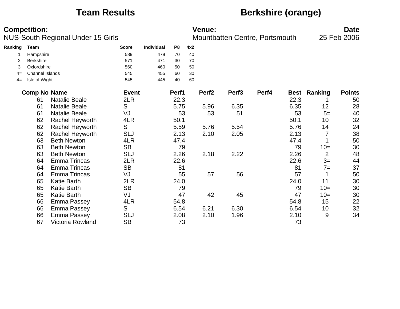## **Team Results Berkshire (orange)**

|         | <b>Competition:</b> | NUS-South Regional Under 15 Girls |              |            |                |     | Venue:            | Mountbatten Centre, Portsmouth |       |             |                | <b>Date</b><br>25 Feb 2006 |
|---------|---------------------|-----------------------------------|--------------|------------|----------------|-----|-------------------|--------------------------------|-------|-------------|----------------|----------------------------|
| Ranking | <b>Team</b>         |                                   | <b>Score</b> | Individual | P <sub>8</sub> | 4x2 |                   |                                |       |             |                |                            |
|         | Hampshire           |                                   | 589          | 479        | 70             | 40  |                   |                                |       |             |                |                            |
| 2       | <b>Berkshire</b>    |                                   | 571          | 471        | 30             | 70  |                   |                                |       |             |                |                            |
| 3       | Oxfordshire         |                                   | 560          | 460        | 50             | 50  |                   |                                |       |             |                |                            |
| $4=$    | Channel Islands     |                                   | 545          | 455        | 60             | 30  |                   |                                |       |             |                |                            |
| $4=$    | Isle of Wight       |                                   | 545          | 445        | 40             | 60  |                   |                                |       |             |                |                            |
|         | <b>Comp No Name</b> |                                   | <b>Event</b> |            | Perf1          |     | Perf <sub>2</sub> | Perf <sub>3</sub>              | Perf4 | <b>Best</b> | <b>Ranking</b> | <b>Points</b>              |
|         | 61                  | <b>Natalie Beale</b>              | 2LR          |            | 22.3           |     |                   |                                |       | 22.3        |                | 50                         |
|         | 61                  | <b>Natalie Beale</b>              | S            |            | 5.75           |     | 5.96              | 6.35                           |       | 6.35        | 12             | 28                         |
|         | 61                  | <b>Natalie Beale</b>              | VJ           |            | 53             |     | 53                | 51                             |       | 53          | $5=$           | 40                         |
|         | 62                  | Rachel Heyworth                   | 4LR          |            | 50.1           |     |                   |                                |       | 50.1        | 10             | 32                         |
|         | 62                  | Rachel Heyworth                   | S            |            | 5.59           |     | 5.76              | 5.54                           |       | 5.76        | 14             | 24                         |
|         | 62                  | Rachel Heyworth                   | <b>SLJ</b>   |            | 2.13           |     | 2.10              | 2.05                           |       | 2.13        | 7              | 38                         |
|         | 63                  | <b>Beth Newton</b>                | 4LR          |            | 47.4           |     |                   |                                |       | 47.4        |                | 50                         |
|         | 63                  | <b>Beth Newton</b>                | <b>SB</b>    |            | 79             |     |                   |                                |       | 79          | $10=$          | 30                         |
|         | 63                  | <b>Beth Newton</b>                | <b>SLJ</b>   |            | 2.26           |     | 2.18              | 2.22                           |       | 2.26        | $\overline{2}$ | 48                         |
|         | 64                  | <b>Emma Trincas</b>               | 2LR          |            | 22.6           |     |                   |                                |       | 22.6        | $3=$           | 44                         |
|         | 64                  | <b>Emma Trincas</b>               | <b>SB</b>    |            | 81             |     |                   |                                |       | 81          | $7=$           | 37                         |
|         | 64                  | <b>Emma Trincas</b>               | VJ           |            | 55             |     | 57                | 56                             |       | 57          | 1              | 50                         |
|         | 65                  | <b>Katie Barth</b>                | 2LR          |            | 24.0           |     |                   |                                |       | 24.0        | 11             | 30                         |
|         | 65                  | <b>Katie Barth</b>                | <b>SB</b>    |            | 79             |     |                   |                                |       | 79          | $10=$          | 30                         |
|         | 65                  | <b>Katie Barth</b>                | VJ           |            | 47             |     | 42                | 45                             |       | 47          | $10=$          | 30                         |
|         | 66                  | <b>Emma Passey</b>                | 4LR          |            | 54.8           |     |                   |                                |       | 54.8        | 15             | 22                         |
|         | 66                  | Emma Passey                       | S            |            | 6.54           |     | 6.21              | 6.30                           |       | 6.54        | 10             | 32                         |
|         | 66                  | <b>Emma Passey</b>                | <b>SLJ</b>   |            | 2.08           |     | 2.10              | 1.96                           |       | 2.10        | 9              | 34                         |
|         | 67                  | Victoria Rowland                  | <b>SB</b>    |            | 73             |     |                   |                                |       | 73          |                |                            |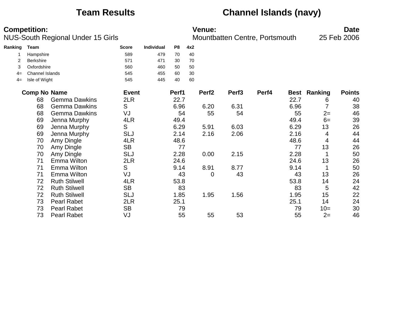## **Team Results Channel Islands (navy)**

|         | <b>Competition:</b>    | NUS-South Regional Under 15 Girls |              | Venue:<br>Mountbatten Centre, Portsmouth |                |     |                   |                   |       | <b>Date</b><br>25 Feb 2006 |                |               |
|---------|------------------------|-----------------------------------|--------------|------------------------------------------|----------------|-----|-------------------|-------------------|-------|----------------------------|----------------|---------------|
| Ranking | <b>Team</b>            |                                   | <b>Score</b> | <b>Individual</b>                        | P <sub>8</sub> | 4x2 |                   |                   |       |                            |                |               |
|         | Hampshire              |                                   | 589          | 479                                      | 70             | 40  |                   |                   |       |                            |                |               |
|         | <b>Berkshire</b>       |                                   | 571          | 471                                      | 30             | 70  |                   |                   |       |                            |                |               |
| 3       | Oxfordshire            |                                   | 560          | 460                                      | 50             | 50  |                   |                   |       |                            |                |               |
| 4=      | <b>Channel Islands</b> |                                   | 545          | 455                                      | 60             | 30  |                   |                   |       |                            |                |               |
| $4=$    | Isle of Wight          |                                   | 545          | 445                                      | 40             | 60  |                   |                   |       |                            |                |               |
|         | <b>Comp No Name</b>    |                                   | <b>Event</b> |                                          | Perf1          |     | Perf <sub>2</sub> | Perf <sub>3</sub> | Perf4 | Best                       | <b>Ranking</b> | <b>Points</b> |
|         | 68                     | <b>Gemma Dawkins</b>              | 2LR          |                                          | 22.7           |     |                   |                   |       | 22.7                       | 6              | 40            |
|         | 68                     | <b>Gemma Dawkins</b>              | S            |                                          | 6.96           |     | 6.20              | 6.31              |       | 6.96                       | 7              | 38            |
|         | 68                     | <b>Gemma Dawkins</b>              | VJ           |                                          | 54             |     | 55                | 54                |       | 55                         | $2=$           | 46            |
|         | 69                     | Jenna Murphy                      | 4LR          |                                          | 49.4           |     |                   |                   |       | 49.4                       | $6=$           | 39            |
|         | 69                     | Jenna Murphy                      | S            |                                          | 6.29           |     | 5.91              | 6.03              |       | 6.29                       | 13             | 26            |
|         | 69                     | Jenna Murphy                      | <b>SLJ</b>   |                                          | 2.14           |     | 2.16              | 2.06              |       | 2.16                       | 4              | 44            |
|         | 70                     | Amy Dingle                        | 4LR          |                                          | 48.6           |     |                   |                   |       | 48.6                       | 4              | 44            |
|         | 70                     | Amy Dingle                        | <b>SB</b>    |                                          | 77             |     |                   |                   |       | 77                         | 13             | 26            |
|         | 70                     | Amy Dingle                        | <b>SLJ</b>   |                                          | 2.28           |     | 0.00              | 2.15              |       | 2.28                       |                | 50            |
|         | 71                     | Emma Wilton                       | 2LR          |                                          | 24.6           |     |                   |                   |       | 24.6                       | 13             | 26            |
|         | 71                     | Emma Wilton                       | S            |                                          | 9.14           |     | 8.91              | 8.77              |       | 9.14                       |                | 50            |
|         | 71                     | Emma Wilton                       | VJ           |                                          | 43             |     | 0                 | 43                |       | 43                         | 13             | 26            |
|         | 72                     | <b>Ruth Stilwell</b>              | 4LR          |                                          | 53.8           |     |                   |                   |       | 53.8                       | 14             | 24            |
|         | 72                     | <b>Ruth Stilwell</b>              | <b>SB</b>    |                                          | 83             |     |                   |                   |       | 83                         | 5              | 42            |
|         | 72                     | <b>Ruth Stilwell</b>              | <b>SLJ</b>   |                                          | 1.85           |     | 1.95              | 1.56              |       | 1.95                       | 15             | 22            |
|         | 73                     | <b>Pearl Rabet</b>                | 2LR          |                                          | 25.1           |     |                   |                   |       | 25.1                       | 14             | 24            |
|         | 73                     | <b>Pearl Rabet</b>                | <b>SB</b>    |                                          | 79             |     |                   |                   |       | 79                         | $10=$          | 30            |
|         | 73                     | <b>Pearl Rabet</b>                | VJ           |                                          | 55             |     | 55                | 53                |       | 55                         | $2=$           | 46            |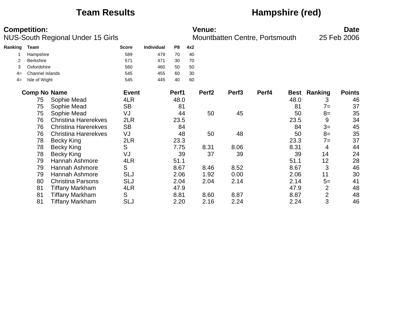## **Team Results Hampshire (red)**

|         | <b>Competition:</b>    |                                   |               |                   |                |     | <b>Venue:</b>     |                   |                                |             |                | <b>Date</b>   |
|---------|------------------------|-----------------------------------|---------------|-------------------|----------------|-----|-------------------|-------------------|--------------------------------|-------------|----------------|---------------|
|         |                        | NUS-South Regional Under 15 Girls |               |                   |                |     |                   |                   | Mountbatten Centre, Portsmouth |             |                | 25 Feb 2006   |
| Ranking | Team                   |                                   | <b>Score</b>  | <b>Individual</b> | P <sub>8</sub> | 4x2 |                   |                   |                                |             |                |               |
|         | Hampshire              |                                   | 589           | 479               | 70             | 40  |                   |                   |                                |             |                |               |
|         | <b>Berkshire</b>       |                                   | 571           | 471               | 30             | 70  |                   |                   |                                |             |                |               |
| 3       | Oxfordshire            |                                   | 560           | 460               | 50             | 50  |                   |                   |                                |             |                |               |
| $4=$    | <b>Channel Islands</b> |                                   | 545           | 455               | 60             | 30  |                   |                   |                                |             |                |               |
| $4=$    | Isle of Wight          |                                   | 545           | 445               | 40             | 60  |                   |                   |                                |             |                |               |
|         | <b>Comp No Name</b>    |                                   | <b>Event</b>  |                   | Perf1          |     | Perf <sub>2</sub> | Perf <sub>3</sub> | Perf4                          | <b>Best</b> | Ranking        | <b>Points</b> |
|         | 75                     | Sophie Mead                       | 4LR           |                   | 48.0           |     |                   |                   |                                | 48.0        | 3              | 46            |
|         | 75                     | Sophie Mead                       | <b>SB</b>     |                   | 81             |     |                   |                   |                                | 81          | $7 =$          | 37            |
|         | 75                     | Sophie Mead                       | VJ            |                   | 44             |     | 50                | 45                |                                | 50          | $8=$           | 35            |
|         | 76                     | <b>Christina Harerekves</b>       | 2LR           |                   | 23.5           |     |                   |                   |                                | 23.5        | 9              | 34            |
|         | 76                     | <b>Christina Harerekves</b>       | <b>SB</b>     |                   | 84             |     |                   |                   |                                | 84          | $3=$           | 45            |
|         | 76                     | <b>Christina Harerekves</b>       | VJ            |                   | 48             |     | 50                | 48                |                                | 50          | $8=$           | 35            |
|         | 78                     | <b>Becky King</b>                 | 2LR           |                   | 23.3           |     |                   |                   |                                | 23.3        | $7 =$          | 37            |
|         | 78                     | <b>Becky King</b>                 | S             |                   | 7.75           |     | 8.31              | 8.06              |                                | 8.31        | 4              | 44            |
|         | 78                     | <b>Becky King</b>                 | VJ            |                   | 39             |     | 37                | 39                |                                | 39          | 14             | 24            |
|         | 79                     | Hannah Ashmore                    | 4LR           |                   | 51.1           |     |                   |                   |                                | 51.1        | 12             | 28            |
|         | 79                     | Hannah Ashmore                    | S             |                   | 8.67           |     | 8.46              | 8.52              |                                | 8.67        | 3              | 46            |
|         | 79                     | Hannah Ashmore                    | SLJ           |                   | 2.06           |     | 1.92              | 0.00              |                                | 2.06        | 11             | 30            |
|         | 80                     | <b>Christina Parsons</b>          | SLJ           |                   | 2.04           |     | 2.04              | 2.14              |                                | 2.14        | $5=$           | 41            |
|         | 81                     | <b>Tiffany Markham</b>            | 4LR           |                   | 47.9           |     |                   |                   |                                | 47.9        | $\overline{2}$ | 48            |
|         | 81                     | <b>Tiffany Markham</b>            | ${\mathsf S}$ |                   | 8.81           |     | 8.60              | 8.87              |                                | 8.87        | $\overline{2}$ | 48            |
|         | 81                     | Tiffany Markham                   | <b>SLJ</b>    |                   | 2.20           |     | 2.16              | 2.24              |                                | 2.24        | 3              | 46            |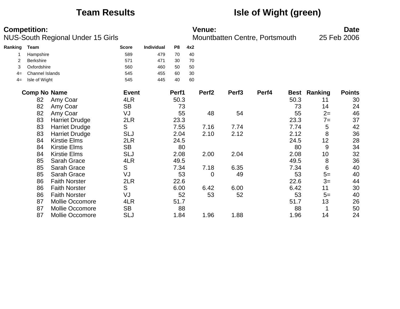## **Team Results Isle of Wight (green)**

|         | <b>Competition:</b>    | NUS-South Regional Under 15 Girls | <b>Venue:</b><br>25 Feb 2006<br>Mountbatten Centre, Portsmouth |                   |                |     |                   |                   |       | <b>Date</b> |         |               |
|---------|------------------------|-----------------------------------|----------------------------------------------------------------|-------------------|----------------|-----|-------------------|-------------------|-------|-------------|---------|---------------|
| Ranking | <b>Team</b>            |                                   | <b>Score</b>                                                   | <b>Individual</b> | P <sub>8</sub> | 4x2 |                   |                   |       |             |         |               |
|         | Hampshire              |                                   | 589                                                            | 479               | 70             | 40  |                   |                   |       |             |         |               |
|         | <b>Berkshire</b>       |                                   | 571                                                            | 471               | 30             | 70  |                   |                   |       |             |         |               |
| 3       | Oxfordshire            |                                   | 560                                                            | 460               | 50             | 50  |                   |                   |       |             |         |               |
| $4=$    | <b>Channel Islands</b> |                                   | 545                                                            | 455               | 60             | 30  |                   |                   |       |             |         |               |
| $4=$    | Isle of Wight          |                                   | 545                                                            | 445               | 40             | 60  |                   |                   |       |             |         |               |
|         | <b>Comp No Name</b>    |                                   | <b>Event</b>                                                   |                   | Perf1          |     | Perf <sub>2</sub> | Perf <sub>3</sub> | Perf4 | <b>Best</b> | Ranking | <b>Points</b> |
|         | 82                     | Amy Coar                          | 4LR                                                            |                   | 50.3           |     |                   |                   |       | 50.3        | 11      | 30            |
|         | 82                     | Amy Coar                          | <b>SB</b>                                                      |                   | 73             |     |                   |                   |       | 73          | 14      | 24            |
|         | 82                     | Amy Coar                          | VJ                                                             |                   | 55             |     | 48                | 54                |       | 55          | $2=$    | 46            |
|         | 83                     | <b>Harriet Drudge</b>             | 2LR                                                            |                   | 23.3           |     |                   |                   |       | 23.3        | $7 =$   | 37            |
|         | 83                     | <b>Harriet Drudge</b>             | ${\mathsf S}$                                                  |                   | 7.55           |     | 7.16              | 7.74              |       | 7.74        | 5       | 42            |
|         | 83                     | <b>Harriet Drudge</b>             | <b>SLJ</b>                                                     |                   | 2.04           |     | 2.10              | 2.12              |       | 2.12        | 8       | 36            |
|         | 84                     | <b>Kirstie Elms</b>               | 2LR                                                            |                   | 24.5           |     |                   |                   |       | 24.5        | 12      | 28            |
|         | 84                     | <b>Kirstie Elms</b>               | <b>SB</b>                                                      |                   | 80             |     |                   |                   |       | 80          | 9       | 34            |
|         | 84                     | <b>Kirstie Elms</b>               | <b>SLJ</b>                                                     |                   | 2.08           |     | 2.00              | 2.04              |       | 2.08        | 10      | 32            |
|         | 85                     | Sarah Grace                       | 4LR                                                            |                   | 49.5           |     |                   |                   |       | 49.5        | 8       | 36            |
|         | 85                     | <b>Sarah Grace</b>                | S                                                              |                   | 7.34           |     | 7.18              | 6.35              |       | 7.34        | 6       | 40            |
|         | 85                     | <b>Sarah Grace</b>                | VJ                                                             |                   | 53             |     | 0                 | 49                |       | 53          | $5=$    | 40            |
|         | 86                     | <b>Faith Norster</b>              | 2LR                                                            |                   | 22.6           |     |                   |                   |       | 22.6        | $3=$    | 44            |
|         | 86                     | <b>Faith Norster</b>              | S                                                              |                   | 6.00           |     | 6.42              | 6.00              |       | 6.42        | 11      | 30            |
|         | 86                     | <b>Faith Norster</b>              | VJ                                                             |                   | 52             |     | 53                | 52                |       | 53          | $5=$    | 40            |
|         | 87                     | Mollie Occomore                   | 4LR                                                            |                   | 51.7           |     |                   |                   |       | 51.7        | 13      | 26            |
|         | 87                     | <b>Mollie Occomore</b>            | <b>SB</b>                                                      |                   | 88             |     |                   |                   |       | 88          |         | 50            |
|         | 87                     | Mollie Occomore                   | SLJ                                                            |                   | 1.84           |     | 1.96              | 1.88              |       | 1.96        | 14      | 24            |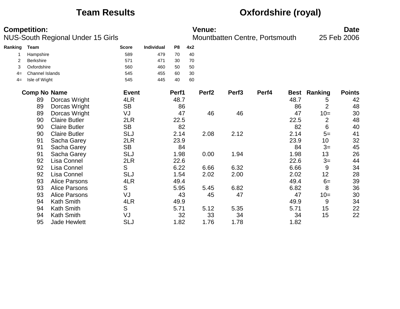# **Team Results Oxfordshire (royal)**

|         | <b>Competition:</b> | NUS-South Regional Under 15 Girls |              |                   |       |     | <b>Venue:</b>     | Mountbatten Centre, Portsmouth |       |      |                     | <b>Date</b><br>25 Feb 2006 |
|---------|---------------------|-----------------------------------|--------------|-------------------|-------|-----|-------------------|--------------------------------|-------|------|---------------------|----------------------------|
| Ranking | <b>Team</b>         |                                   | <b>Score</b> | <b>Individual</b> | P8    | 4x2 |                   |                                |       |      |                     |                            |
|         | Hampshire           |                                   | 589          | 479               | 70    | 40  |                   |                                |       |      |                     |                            |
| 2       | Berkshire           |                                   | 571          | 471               | 30    | 70  |                   |                                |       |      |                     |                            |
| 3       | Oxfordshire         |                                   | 560          | 460               | 50    | 50  |                   |                                |       |      |                     |                            |
| 4=      | Channel Islands     |                                   | 545          | 455               | 60    | 30  |                   |                                |       |      |                     |                            |
| $4=$    | Isle of Wight       |                                   | 545          | 445               | 40    | 60  |                   |                                |       |      |                     |                            |
|         | <b>Comp No Name</b> |                                   | <b>Event</b> |                   | Perf1 |     | Perf <sub>2</sub> | Perf <sub>3</sub>              | Perf4 |      | <b>Best Ranking</b> | <b>Points</b>              |
|         | 89                  | Dorcas Wright                     | 4LR          |                   | 48.7  |     |                   |                                |       | 48.7 | 5                   | 42                         |
|         | 89                  | Dorcas Wright                     | <b>SB</b>    |                   | 86    |     |                   |                                |       | 86   | $\overline{2}$      | 48                         |
|         | 89                  | Dorcas Wright                     | VJ           |                   | 47    |     | 46                | 46                             |       | 47   | $10=$               | 30                         |
|         | 90                  | <b>Claire Butler</b>              | 2LR          |                   | 22.5  |     |                   |                                |       | 22.5 | $\overline{2}$      | 48                         |
|         | 90                  | <b>Claire Butler</b>              | <b>SB</b>    |                   | 82    |     |                   |                                |       | 82   | $6\phantom{1}6$     | 40                         |
|         | 90                  | <b>Claire Butler</b>              | <b>SLJ</b>   |                   | 2.14  |     | 2.08              | 2.12                           |       | 2.14 | $5=$                | 41                         |
|         | 91                  | Sacha Garey                       | 2LR          |                   | 23.9  |     |                   |                                |       | 23.9 | 10                  | 32                         |
|         | 91                  | Sacha Garey                       | <b>SB</b>    |                   | 84    |     |                   |                                |       | 84   | $3=$                | 45                         |
|         | 91                  | Sacha Garey                       | <b>SLJ</b>   |                   | 1.98  |     | 0.00              | 1.94                           |       | 1.98 | 13                  | 26                         |
|         | 92                  | Lisa Connel                       | 2LR          |                   | 22.6  |     |                   |                                |       | 22.6 | $3=$                | 44                         |
|         | 92                  | Lisa Connel                       | S            |                   | 6.22  |     | 6.66              | 6.32                           |       | 6.66 | 9                   | 34                         |
|         | 92                  | <b>Lisa Connel</b>                | <b>SLJ</b>   |                   | 1.54  |     | 2.02              | 2.00                           |       | 2.02 | 12                  | 28                         |
|         | 93                  | <b>Alice Parsons</b>              | 4LR          |                   | 49.4  |     |                   |                                |       | 49.4 | $6=$                | 39                         |
|         | 93                  | <b>Alice Parsons</b>              | S            |                   | 5.95  |     | 5.45              | 6.82                           |       | 6.82 | 8                   | 36                         |
|         | 93                  | <b>Alice Parsons</b>              | VJ           |                   | 43    |     | 45                | 47                             |       | 47   | $10=$               | 30                         |
|         | 94                  | <b>Kath Smith</b>                 | 4LR          |                   | 49.9  |     |                   |                                |       | 49.9 | 9                   | 34                         |
|         | 94                  | <b>Kath Smith</b>                 | S            |                   | 5.71  |     | 5.12              | 5.35                           |       | 5.71 | 15                  | 22                         |
|         | 94                  | <b>Kath Smith</b>                 | VJ           |                   | 32    |     | 33                | 34                             |       | 34   | 15                  | 22                         |
|         | 95                  | <b>Jade Hewlett</b>               | <b>SLJ</b>   |                   | 1.82  |     | 1.76              | 1.78                           |       | 1.82 |                     |                            |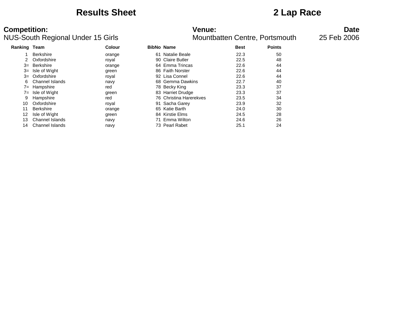### **Results Sheet 2 Lap Race**

# **Competition: Venue: Date**

NUS-South Regional Under 15 Girls Mountbatten Centre, Portsmouth and 25 Feb 2006

| Ranking Team |                  | <b>Colour</b> | <b>BibNo Name</b> |                         | <b>Best</b> | <b>Points</b> |
|--------------|------------------|---------------|-------------------|-------------------------|-------------|---------------|
|              | <b>Berkshire</b> | orange        | 61                | Natalie Beale           | 22.3        | 50            |
|              | Oxfordshire      | royal         |                   | 90 Claire Butler        | 22.5        | 48            |
| 3=           | Berkshire        | orange        |                   | 64 Emma Trincas         | 22.6        | 44            |
| $3=$         | Isle of Wight    | green         |                   | 86 Faith Norster        | 22.6        | 44            |
| $3=$         | Oxfordshire      | royal         |                   | 92 Lisa Connel          | 22.6        | 44            |
| 6            | Channel Islands  | navy          |                   | 68 Gemma Dawkins        | 22.7        | 40            |
| $7 =$        | Hampshire        | red           |                   | 78 Becky King           | 23.3        | 37            |
| $7 =$        | Isle of Wight    | green         |                   | 83 Harriet Drudge       | 23.3        | 37            |
| 9            | Hampshire        | red           |                   | 76 Christina Harerekves | 23.5        | 34            |
| 10           | Oxfordshire      | royal         |                   | 91 Sacha Garey          | 23.9        | 32            |
| 11           | <b>Berkshire</b> | orange        |                   | 65 Katie Barth          | 24.0        | 30            |
| 12           | Isle of Wight    | green         |                   | 84 Kirstie Elms         | 24.5        | 28            |
| 13           | Channel Islands  | navy          |                   | Emma Wilton             | 24.6        | 26            |
| 14           | Channel Islands  | navy          |                   | 73 Pearl Rabet          | 25.1        | 24            |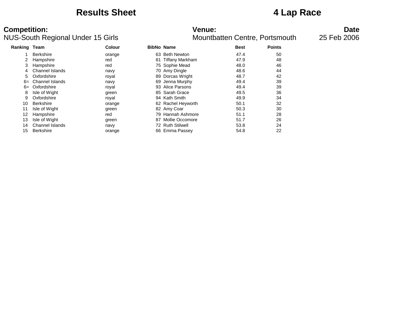### **Results Sheet 4 Lap Race**

| <b>Ranking Team</b> |                        | <b>Colour</b> | <b>BibNo Name</b> |                    | <b>Best</b> | <b>Points</b> |
|---------------------|------------------------|---------------|-------------------|--------------------|-------------|---------------|
|                     | <b>Berkshire</b>       | orange        |                   | 63 Beth Newton     | 47.4        | 50            |
| 2                   | Hampshire              | red           | 81                | Tiffany Markham    | 47.9        | 48            |
| 3                   | Hampshire              | red           |                   | 75 Sophie Mead     | 48.0        | 46            |
| 4                   | Channel Islands        | navy          |                   | 70 Amy Dingle      | 48.6        | 44            |
| 5                   | Oxfordshire            | royal         |                   | 89 Dorcas Wright   | 48.7        | 42            |
| $6=$                | Channel Islands        | navy          |                   | 69 Jenna Murphy    | 49.4        | 39            |
| $6=$                | Oxfordshire            | royal         |                   | 93 Alice Parsons   | 49.4        | 39            |
| 8                   | Isle of Wight          | green         |                   | 85 Sarah Grace     | 49.5        | 36            |
| 9                   | Oxfordshire            | royal         |                   | 94 Kath Smith      | 49.9        | 34            |
| 10                  | <b>Berkshire</b>       | orange        |                   | 62 Rachel Heyworth | 50.1        | 32            |
| 11                  | Isle of Wight          | green         |                   | 82 Amy Coar        | 50.3        | 30            |
| 12                  | Hampshire              | red           |                   | 79 Hannah Ashmore  | 51.1        | 28            |
| 13                  | Isle of Wight          | green         | 87                | Mollie Occomore    | 51.7        | 26            |
| 14                  | <b>Channel Islands</b> | navy          |                   | 72 Ruth Stilwell   | 53.8        | 24            |
| 15                  | <b>Berkshire</b>       | orange        |                   | 66 Emma Passey     | 54.8        | 22            |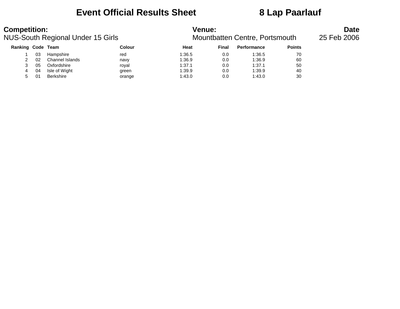## **Event Official Results Sheet 8 Lap Paarlauf**

| <b>Competition:</b> |    | <b>NUS-South Regional Under 15 Girls</b> |        |        | <b>Venue:</b><br>Mountbatten Centre, Portsmouth |                    |               |  |  |  |  |
|---------------------|----|------------------------------------------|--------|--------|-------------------------------------------------|--------------------|---------------|--|--|--|--|
| Ranking Code Team   |    |                                          | Colour | Heat   | Final                                           | <b>Performance</b> | <b>Points</b> |  |  |  |  |
|                     | 03 | Hampshire                                | red    | 1:36.5 | 0.0                                             | 1:36.5             | 70            |  |  |  |  |
|                     | 02 | Channel Islands                          | navy   | 1:36.9 | 0.0                                             | 1:36.9             | 60            |  |  |  |  |
|                     | 05 | Oxfordshire                              | roval  | 1:37.1 | 0.0                                             | 1:37.1             | 50            |  |  |  |  |
| 4                   | 04 | Isle of Wight                            | green  | 1:39.9 | 0.0                                             | 1:39.9             | 40            |  |  |  |  |
| 5.                  |    | Berkshire                                | orange | 1:43.0 | 0.0                                             | 1:43.0             | 30            |  |  |  |  |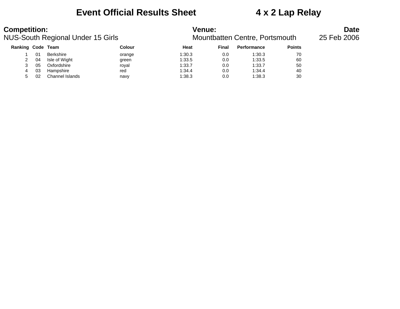### **Event Official Results Sheet 4 x 2 Lap Relay**

## **Competition: Venue: Date**

NUS-South Regional Under 15 Girls Mountbatten Centre, Portsmouth and 25 Feb 2006

| Ranking Code Team |    |                  | Colour | Heat   | Final | <b>Performance</b> | <b>Points</b> |
|-------------------|----|------------------|--------|--------|-------|--------------------|---------------|
|                   | 01 | <b>Berkshire</b> | orange | 1:30.3 | 0.0   | 1:30.3             | 70            |
|                   | 04 | Isle of Wight    | green  | 1:33.5 | 0.0   | 1:33.5             | 60            |
|                   | 05 | Oxfordshire      | roval  | 1:33.7 | 0.0   | 1:33.7             | 50            |
|                   | 03 | Hampshire        | red    | 1:34.4 | 0.0   | 1:34.4             | 40            |
| 5                 | 02 | Channel Islands  | navy   | 1:38.3 | 0.0   | 1:38.3             | 30            |
|                   |    |                  |        |        |       |                    |               |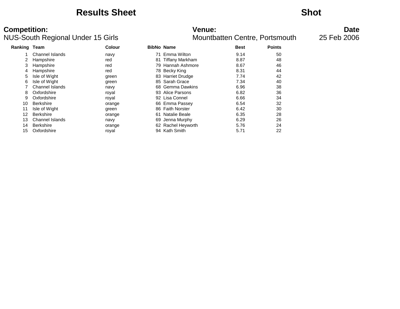### **Results Sheet Shot**

### NUS-South Regional Under 15 Girls Mountbatten Centre, Portsmouth and 25 Feb 2006

# **Competition: Venue: Date**

| Ranking | Team                   | <b>Colour</b> | <b>BibNo Name</b> |                        | <b>Best</b> | <b>Points</b> |
|---------|------------------------|---------------|-------------------|------------------------|-------------|---------------|
|         | Channel Islands        | navy          |                   | Emma Wilton            | 9.14        | 50            |
|         | Hampshire              | red           | 81                | <b>Tiffany Markham</b> | 8.87        | 48            |
| 3       | Hampshire              | red           |                   | 79 Hannah Ashmore      | 8.67        | 46            |
| 4       | Hampshire              | red           |                   | 78 Becky King          | 8.31        | 44            |
| 5       | Isle of Wight          | green         |                   | 83 Harriet Drudge      | 7.74        | 42            |
| 6       | Isle of Wight          | green         |                   | 85 Sarah Grace         | 7.34        | 40            |
|         | Channel Islands        | navy          |                   | 68 Gemma Dawkins       | 6.96        | 38            |
| 8       | Oxfordshire            | royal         |                   | 93 Alice Parsons       | 6.82        | 36            |
| 9       | Oxfordshire            | royal         |                   | 92 Lisa Connel         | 6.66        | 34            |
| 10      | <b>Berkshire</b>       | orange        |                   | 66 Emma Passey         | 6.54        | 32            |
| 11      | Isle of Wight          | green         |                   | 86 Faith Norster       | 6.42        | 30            |
| 12      | <b>Berkshire</b>       | orange        | 61                | <b>Natalie Beale</b>   | 6.35        | 28            |
| 13      | <b>Channel Islands</b> | navy          | 69                | Jenna Murphy           | 6.29        | 26            |
| 14      | <b>Berkshire</b>       | orange        |                   | 62 Rachel Heyworth     | 5.76        | 24            |
| 15      | Oxfordshire            | royal         |                   | 94 Kath Smith          | 5.71        | 22            |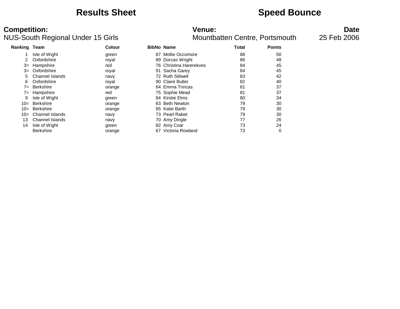## **Results Sheet Speed Bounce**

| Ranking Team |                        | <b>Colour</b> | <b>BibNo Name</b> |                         | Total | <b>Points</b> |
|--------------|------------------------|---------------|-------------------|-------------------------|-------|---------------|
|              | Isle of Wight          | green         | 87                | Mollie Occomore         | 88    | 50            |
|              | Oxfordshire            | royal         |                   | 89 Dorcas Wright        | 86    | 48            |
| $3=$         | Hampshire              | red           |                   | 76 Christina Harerekves | 84    | 45            |
| $3=$         | Oxfordshire            | royal         |                   | 91 Sacha Garey          | 84    | 45            |
| 5            | Channel Islands        | navy          |                   | 72 Ruth Stilwell        | 83    | 42            |
| 6            | Oxfordshire            | royal         |                   | 90 Claire Butler        | 82    | 40            |
| $7 =$        | <b>Berkshire</b>       | orange        |                   | 64 Emma Trincas         | 81    | 37            |
| $7 =$        | Hampshire              | red           |                   | 75 Sophie Mead          | 81    | 37            |
| 9            | Isle of Wight          | green         |                   | 84 Kirstie Elms         | 80    | 34            |
| $10=$        | <b>Berkshire</b>       | orange        |                   | 63 Beth Newton          | 79    | 30            |
| $10=$        | Berkshire              | orange        |                   | 65 Katie Barth          | 79    | 30            |
| $10=$        | Channel Islands        | navy          |                   | 73 Pearl Rabet          | 79    | 30            |
| 13           | <b>Channel Islands</b> | navy          |                   | 70 Amy Dingle           | 77    | 26            |
| 14           | Isle of Wight          | green         |                   | 82 Amy Coar             | 73    | 24            |
|              | <b>Berkshire</b>       | orange        | 67                | Victoria Rowland        | 73    | 0             |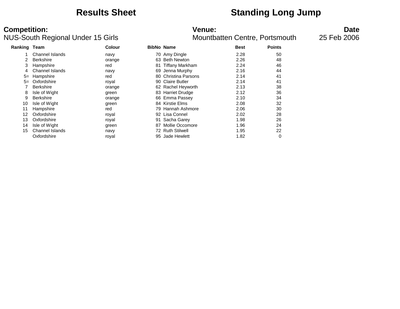## **Results Sheet Standing Long Jump**

| Ranking | Team             | Colour |     | <b>BibNo Name</b>      | <b>Best</b> | <b>Points</b> |
|---------|------------------|--------|-----|------------------------|-------------|---------------|
|         | Channel Islands  | navy   |     | 70 Amy Dingle          | 2.28        | 50            |
|         | <b>Berkshire</b> | orange | 63. | <b>Beth Newton</b>     | 2.26        | 48            |
| 3       | Hampshire        | red    | 81  | <b>Tiffany Markham</b> | 2.24        | 46            |
|         | Channel Islands  | navy   | 69  | Jenna Murphy           | 2.16        | 44            |
| $5=$    | Hampshire        | red    |     | 80 Christina Parsons   | 2.14        | 41            |
| $5=$    | Oxfordshire      | royal  | 90. | <b>Claire Butler</b>   | 2.14        | 41            |
|         | <b>Berkshire</b> | orange |     | 62 Rachel Heyworth     | 2.13        | 38            |
| 8       | Isle of Wight    | green  |     | 83 Harriet Drudge      | 2.12        | 36            |
| 9       | <b>Berkshire</b> | orange |     | 66 Emma Passey         | 2.10        | 34            |
| 10      | Isle of Wight    | green  |     | 84 Kirstie Elms        | 2.08        | 32            |
| 11      | Hampshire        | red    | 79. | Hannah Ashmore         | 2.06        | 30            |
| 12      | Oxfordshire      | royal  |     | 92 Lisa Connel         | 2.02        | 28            |
| 13      | Oxfordshire      | royal  | 91  | Sacha Garey            | 1.98        | 26            |
| 14      | Isle of Wight    | green  | 87  | Mollie Occomore        | 1.96        | 24            |
| 15      | Channel Islands  | navy   | 72  | <b>Ruth Stilwell</b>   | 1.95        | 22            |
|         | Oxfordshire      | roval  | 95  | Jade Hewlett           | 1.82        | 0             |